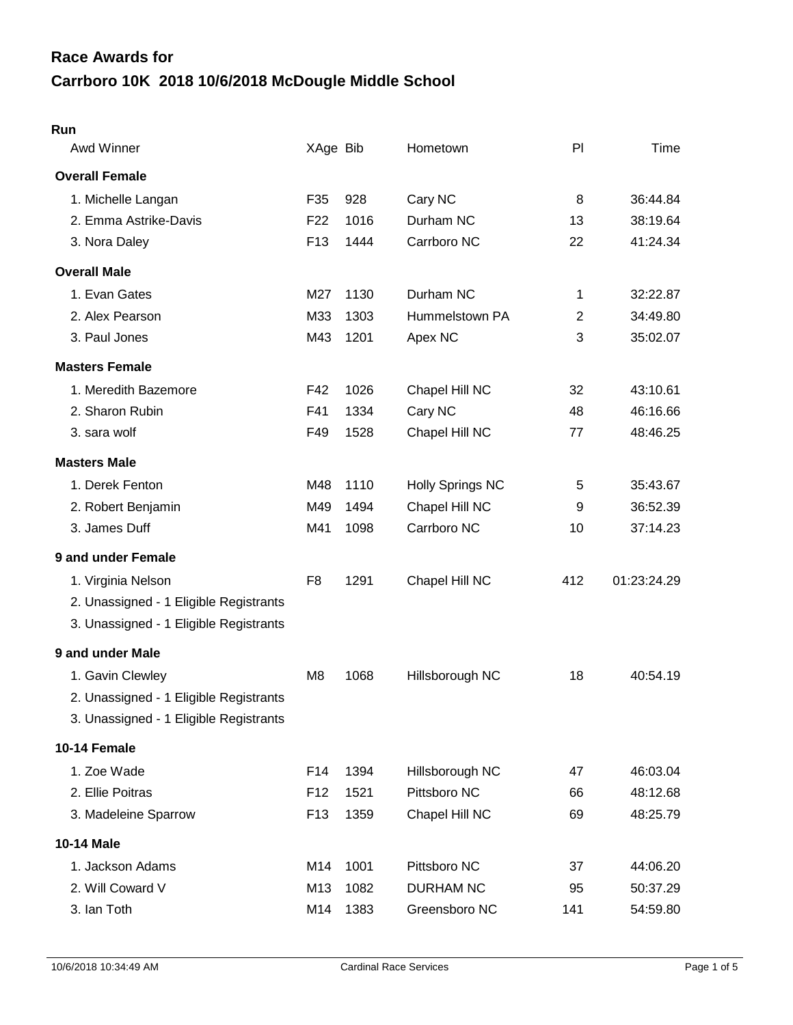## **Carrboro 10K 2018 10/6/2018 McDougle Middle School Race Awards for**

| Awd Winner                             | XAge Bib        |      | Hometown                | PI  | Time        |
|----------------------------------------|-----------------|------|-------------------------|-----|-------------|
| <b>Overall Female</b>                  |                 |      |                         |     |             |
| 1. Michelle Langan                     | F35             | 928  | Cary NC                 | 8   | 36:44.84    |
| 2. Emma Astrike-Davis                  | F <sub>22</sub> | 1016 | Durham NC               | 13  | 38:19.64    |
| 3. Nora Daley                          | F <sub>13</sub> | 1444 | Carrboro NC             | 22  | 41:24.34    |
| <b>Overall Male</b>                    |                 |      |                         |     |             |
| 1. Evan Gates                          | M27             | 1130 | Durham NC               | 1   | 32:22.87    |
| 2. Alex Pearson                        | M33             | 1303 | Hummelstown PA          | 2   | 34:49.80    |
| 3. Paul Jones                          | M43             | 1201 | Apex NC                 | 3   | 35:02.07    |
| <b>Masters Female</b>                  |                 |      |                         |     |             |
| 1. Meredith Bazemore                   | F42             | 1026 | Chapel Hill NC          | 32  | 43:10.61    |
| 2. Sharon Rubin                        | F41             | 1334 | Cary NC                 | 48  | 46:16.66    |
| 3. sara wolf                           | F49             | 1528 | Chapel Hill NC          | 77  | 48:46.25    |
| <b>Masters Male</b>                    |                 |      |                         |     |             |
| 1. Derek Fenton                        | M48             | 1110 | <b>Holly Springs NC</b> | 5   | 35:43.67    |
| 2. Robert Benjamin                     | M49             | 1494 | Chapel Hill NC          | 9   | 36:52.39    |
| 3. James Duff                          | M41             | 1098 | Carrboro NC             | 10  | 37:14.23    |
| 9 and under Female                     |                 |      |                         |     |             |
| 1. Virginia Nelson                     | F <sub>8</sub>  | 1291 | Chapel Hill NC          | 412 | 01:23:24.29 |
| 2. Unassigned - 1 Eligible Registrants |                 |      |                         |     |             |
| 3. Unassigned - 1 Eligible Registrants |                 |      |                         |     |             |
| 9 and under Male                       |                 |      |                         |     |             |
| 1. Gavin Clewley                       | M8              | 1068 | Hillsborough NC         | 18  | 40:54.19    |
| 2. Unassigned - 1 Eligible Registrants |                 |      |                         |     |             |
| 3. Unassigned - 1 Eligible Registrants |                 |      |                         |     |             |
| 10-14 Female                           |                 |      |                         |     |             |
| 1. Zoe Wade                            | F14             | 1394 | Hillsborough NC         | 47  | 46:03.04    |
| 2. Ellie Poitras                       | F <sub>12</sub> | 1521 | Pittsboro NC            | 66  | 48:12.68    |
| 3. Madeleine Sparrow                   | F <sub>13</sub> | 1359 | Chapel Hill NC          | 69  | 48:25.79    |
| 10-14 Male                             |                 |      |                         |     |             |
| 1. Jackson Adams                       | M14             | 1001 | Pittsboro NC            | 37  | 44:06.20    |
| 2. Will Coward V                       | M13             | 1082 | <b>DURHAM NC</b>        | 95  | 50:37.29    |
| 3. Ian Toth                            | M14             | 1383 | Greensboro NC           | 141 | 54:59.80    |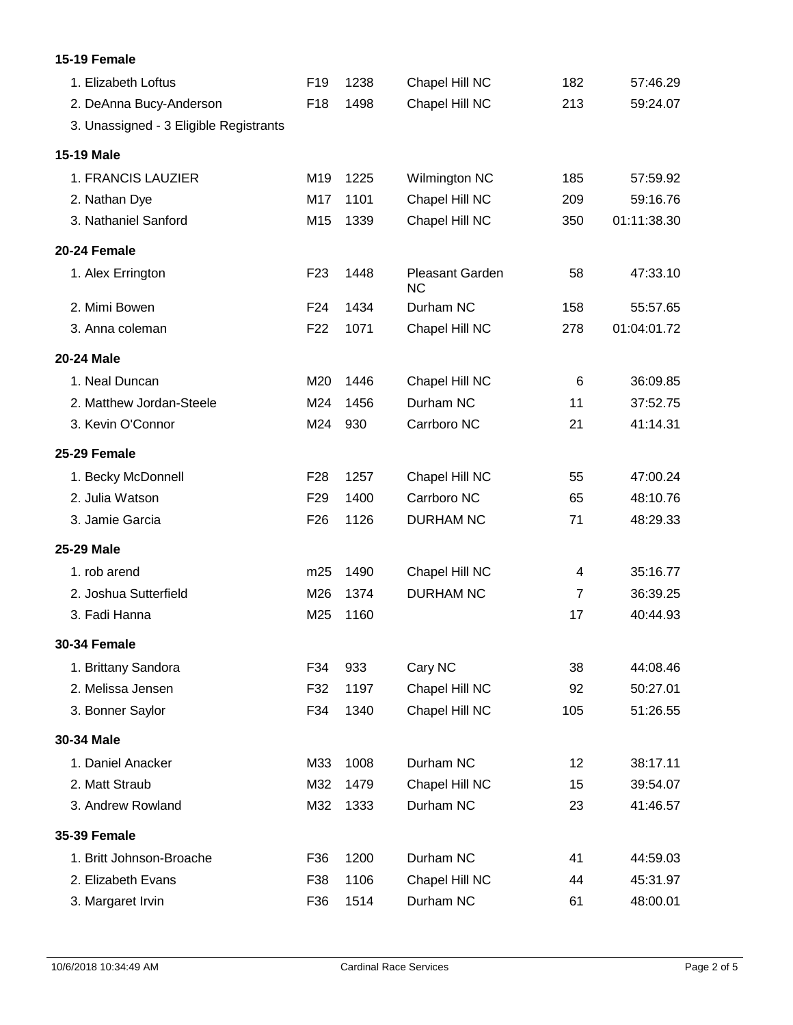| 15-19 Female                           |                 |      |                              |                |             |
|----------------------------------------|-----------------|------|------------------------------|----------------|-------------|
| 1. Elizabeth Loftus                    | F <sub>19</sub> | 1238 | Chapel Hill NC               | 182            | 57:46.29    |
| 2. DeAnna Bucy-Anderson                | F <sub>18</sub> | 1498 | Chapel Hill NC               | 213            | 59:24.07    |
| 3. Unassigned - 3 Eligible Registrants |                 |      |                              |                |             |
| 15-19 Male                             |                 |      |                              |                |             |
| 1. FRANCIS LAUZIER                     | M19             | 1225 | Wilmington NC                | 185            | 57:59.92    |
| 2. Nathan Dye                          | M17             | 1101 | Chapel Hill NC               | 209            | 59:16.76    |
| 3. Nathaniel Sanford                   | M15             | 1339 | Chapel Hill NC               | 350            | 01:11:38.30 |
| 20-24 Female                           |                 |      |                              |                |             |
| 1. Alex Errington                      | F <sub>23</sub> | 1448 | Pleasant Garden<br><b>NC</b> | 58             | 47:33.10    |
| 2. Mimi Bowen                          | F <sub>24</sub> | 1434 | Durham NC                    | 158            | 55:57.65    |
| 3. Anna coleman                        | F <sub>22</sub> | 1071 | Chapel Hill NC               | 278            | 01:04:01.72 |
| 20-24 Male                             |                 |      |                              |                |             |
| 1. Neal Duncan                         | M20             | 1446 | Chapel Hill NC               | 6              | 36:09.85    |
| 2. Matthew Jordan-Steele               | M24             | 1456 | Durham NC                    | 11             | 37:52.75    |
| 3. Kevin O'Connor                      | M24             | 930  | Carrboro NC                  | 21             | 41:14.31    |
| 25-29 Female                           |                 |      |                              |                |             |
| 1. Becky McDonnell                     | F <sub>28</sub> | 1257 | Chapel Hill NC               | 55             | 47:00.24    |
| 2. Julia Watson                        | F <sub>29</sub> | 1400 | Carrboro NC                  | 65             | 48:10.76    |
| 3. Jamie Garcia                        | F <sub>26</sub> | 1126 | <b>DURHAM NC</b>             | 71             | 48:29.33    |
| 25-29 Male                             |                 |      |                              |                |             |
| 1. rob arend                           | m25             | 1490 | Chapel Hill NC               | 4              | 35:16.77    |
| 2. Joshua Sutterfield                  | M26             | 1374 | <b>DURHAM NC</b>             | $\overline{7}$ | 36:39.25    |
| 3. Fadi Hanna                          | M25             | 1160 |                              | 17             | 40:44.93    |
| <b>30-34 Female</b>                    |                 |      |                              |                |             |
| 1. Brittany Sandora                    | F34             | 933  | Cary NC                      | 38             | 44:08.46    |
| 2. Melissa Jensen                      | F32             | 1197 | Chapel Hill NC               | 92             | 50:27.01    |
| 3. Bonner Saylor                       | F34             | 1340 | Chapel Hill NC               | 105            | 51:26.55    |
| 30-34 Male                             |                 |      |                              |                |             |
| 1. Daniel Anacker                      | M33             | 1008 | Durham NC                    | 12             | 38:17.11    |
| 2. Matt Straub                         | M32             | 1479 | Chapel Hill NC               | 15             | 39:54.07    |
| 3. Andrew Rowland                      | M32             | 1333 | Durham NC                    | 23             | 41:46.57    |
| <b>35-39 Female</b>                    |                 |      |                              |                |             |
| 1. Britt Johnson-Broache               | F36             | 1200 | Durham NC                    | 41             | 44:59.03    |
| 2. Elizabeth Evans                     | F38             | 1106 | Chapel Hill NC               | 44             | 45:31.97    |
| 3. Margaret Irvin                      | F36             | 1514 | Durham NC                    | 61             | 48:00.01    |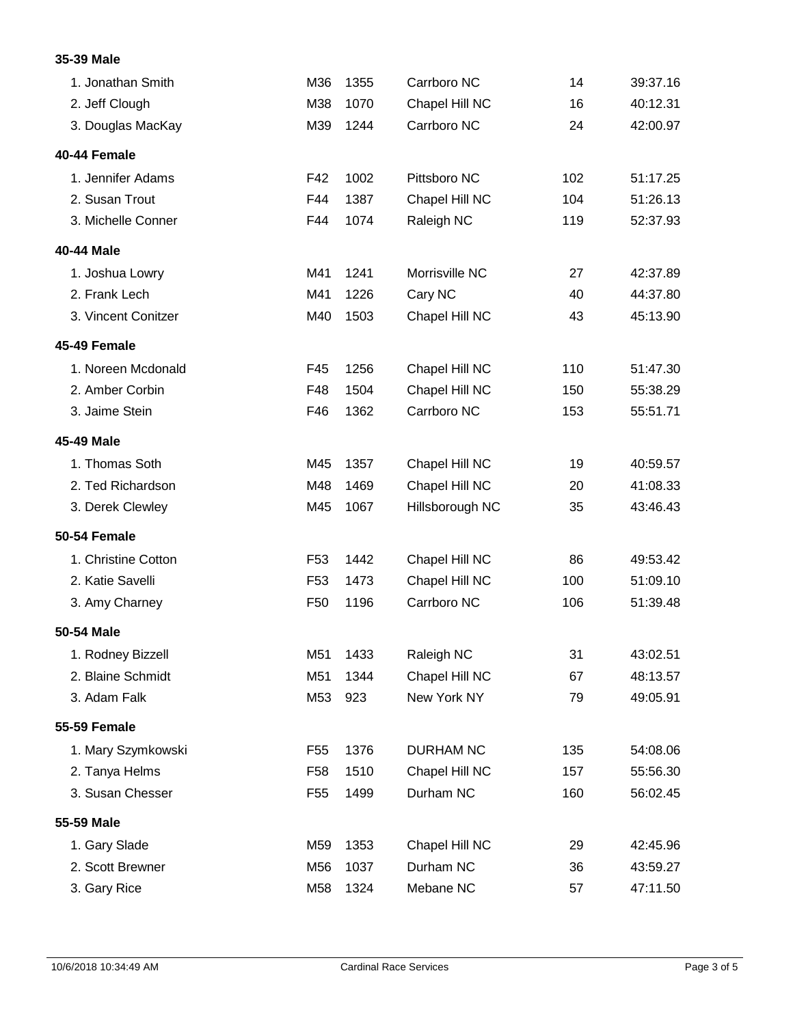## **35-39 Male**

| 1. Jonathan Smith   | M36             | 1355 | Carrboro NC      | 14  | 39:37.16 |
|---------------------|-----------------|------|------------------|-----|----------|
| 2. Jeff Clough      | M38             | 1070 | Chapel Hill NC   | 16  | 40:12.31 |
| 3. Douglas MacKay   | M39             | 1244 | Carrboro NC      | 24  | 42:00.97 |
| 40-44 Female        |                 |      |                  |     |          |
| 1. Jennifer Adams   | F42             | 1002 | Pittsboro NC     | 102 | 51:17.25 |
| 2. Susan Trout      | F44             | 1387 | Chapel Hill NC   | 104 | 51:26.13 |
| 3. Michelle Conner  | F44             | 1074 | Raleigh NC       | 119 | 52:37.93 |
| 40-44 Male          |                 |      |                  |     |          |
| 1. Joshua Lowry     | M41             | 1241 | Morrisville NC   | 27  | 42:37.89 |
| 2. Frank Lech       | M41             | 1226 | Cary NC          | 40  | 44:37.80 |
| 3. Vincent Conitzer | M40             | 1503 | Chapel Hill NC   | 43  | 45:13.90 |
| 45-49 Female        |                 |      |                  |     |          |
| 1. Noreen Mcdonald  | F45             | 1256 | Chapel Hill NC   | 110 | 51:47.30 |
| 2. Amber Corbin     | F48             | 1504 | Chapel Hill NC   | 150 | 55:38.29 |
| 3. Jaime Stein      | F46             | 1362 | Carrboro NC      | 153 | 55:51.71 |
| 45-49 Male          |                 |      |                  |     |          |
| 1. Thomas Soth      | M45             | 1357 | Chapel Hill NC   | 19  | 40:59.57 |
| 2. Ted Richardson   | M48             | 1469 | Chapel Hill NC   | 20  | 41:08.33 |
| 3. Derek Clewley    | M45             | 1067 | Hillsborough NC  | 35  | 43:46.43 |
| 50-54 Female        |                 |      |                  |     |          |
| 1. Christine Cotton | F <sub>53</sub> | 1442 | Chapel Hill NC   | 86  | 49:53.42 |
| 2. Katie Savelli    | F <sub>53</sub> | 1473 | Chapel Hill NC   | 100 | 51:09.10 |
| 3. Amy Charney      | F <sub>50</sub> | 1196 | Carrboro NC      | 106 | 51:39.48 |
| 50-54 Male          |                 |      |                  |     |          |
| 1. Rodney Bizzell   | M51             | 1433 | Raleigh NC       | 31  | 43:02.51 |
| 2. Blaine Schmidt   | M51             | 1344 | Chapel Hill NC   | 67  | 48:13.57 |
| 3. Adam Falk        | M53             | 923  | New York NY      | 79  | 49:05.91 |
| <b>55-59 Female</b> |                 |      |                  |     |          |
| 1. Mary Szymkowski  | F <sub>55</sub> | 1376 | <b>DURHAM NC</b> | 135 | 54:08.06 |
| 2. Tanya Helms      | F <sub>58</sub> | 1510 | Chapel Hill NC   | 157 | 55:56.30 |
| 3. Susan Chesser    | F <sub>55</sub> | 1499 | Durham NC        | 160 | 56:02.45 |
| 55-59 Male          |                 |      |                  |     |          |
| 1. Gary Slade       | M59             | 1353 | Chapel Hill NC   | 29  | 42:45.96 |
| 2. Scott Brewner    | M56             | 1037 | Durham NC        | 36  | 43:59.27 |
| 3. Gary Rice        | M58             | 1324 | Mebane NC        | 57  | 47:11.50 |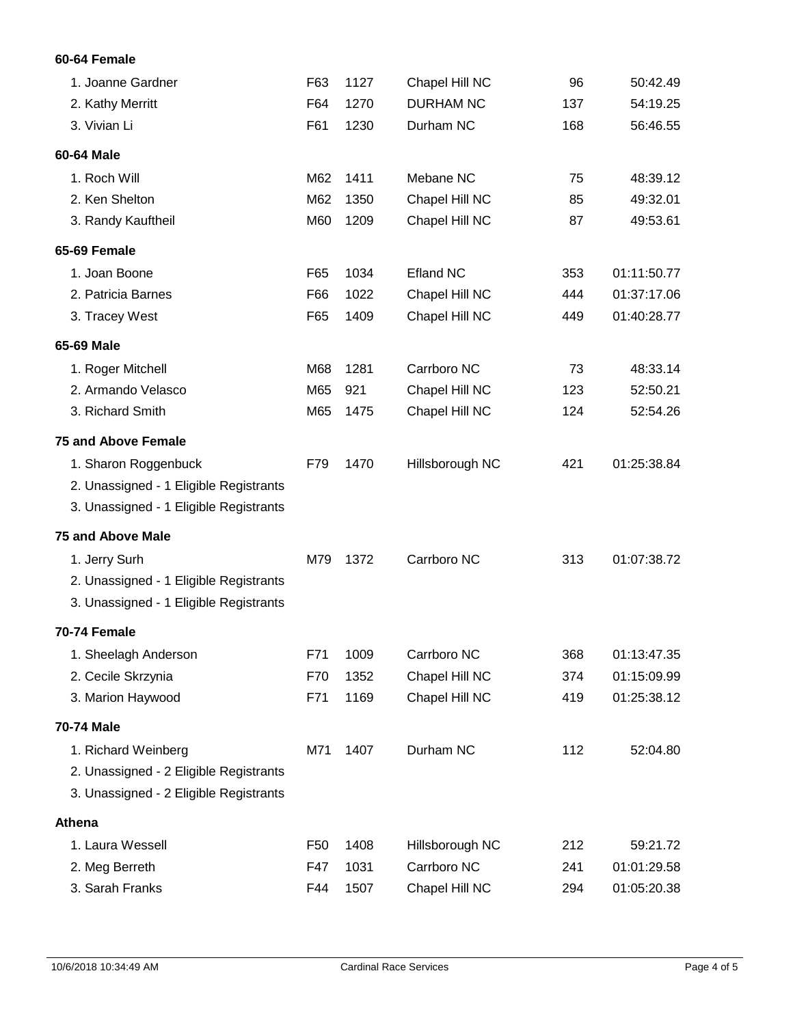## **60-64 Female**

| 1. Joanne Gardner                      | F63             | 1127 | Chapel Hill NC   | 96  | 50:42.49    |
|----------------------------------------|-----------------|------|------------------|-----|-------------|
| 2. Kathy Merritt                       | F64             | 1270 | <b>DURHAM NC</b> | 137 | 54:19.25    |
| 3. Vivian Li                           | F61             | 1230 | Durham NC        | 168 | 56:46.55    |
| 60-64 Male                             |                 |      |                  |     |             |
| 1. Roch Will                           | M62             | 1411 | Mebane NC        | 75  | 48:39.12    |
| 2. Ken Shelton                         | M62             | 1350 | Chapel Hill NC   | 85  | 49:32.01    |
| 3. Randy Kauftheil                     | M60             | 1209 | Chapel Hill NC   | 87  | 49:53.61    |
| 65-69 Female                           |                 |      |                  |     |             |
| 1. Joan Boone                          | F65             | 1034 | <b>Efland NC</b> | 353 | 01:11:50.77 |
| 2. Patricia Barnes                     | F66             | 1022 | Chapel Hill NC   | 444 | 01:37:17.06 |
| 3. Tracey West                         | F65             | 1409 | Chapel Hill NC   | 449 | 01:40:28.77 |
| 65-69 Male                             |                 |      |                  |     |             |
| 1. Roger Mitchell                      | M68             | 1281 | Carrboro NC      | 73  | 48:33.14    |
| 2. Armando Velasco                     | M65             | 921  | Chapel Hill NC   | 123 | 52:50.21    |
| 3. Richard Smith                       | M65             | 1475 | Chapel Hill NC   | 124 | 52:54.26    |
| <b>75 and Above Female</b>             |                 |      |                  |     |             |
| 1. Sharon Roggenbuck                   | F79             | 1470 | Hillsborough NC  | 421 | 01:25:38.84 |
| 2. Unassigned - 1 Eligible Registrants |                 |      |                  |     |             |
| 3. Unassigned - 1 Eligible Registrants |                 |      |                  |     |             |
| <b>75 and Above Male</b>               |                 |      |                  |     |             |
| 1. Jerry Surh                          | M79             | 1372 | Carrboro NC      | 313 | 01:07:38.72 |
| 2. Unassigned - 1 Eligible Registrants |                 |      |                  |     |             |
| 3. Unassigned - 1 Eligible Registrants |                 |      |                  |     |             |
| 70-74 Female                           |                 |      |                  |     |             |
| 1. Sheelagh Anderson                   | F71             | 1009 | Carrboro NC      | 368 | 01:13:47.35 |
| 2. Cecile Skrzynia                     | F70             | 1352 | Chapel Hill NC   | 374 | 01:15:09.99 |
| 3. Marion Haywood                      | F71             | 1169 | Chapel Hill NC   | 419 | 01:25:38.12 |
| 70-74 Male                             |                 |      |                  |     |             |
| 1. Richard Weinberg                    | M71             | 1407 | Durham NC        | 112 | 52:04.80    |
| 2. Unassigned - 2 Eligible Registrants |                 |      |                  |     |             |
| 3. Unassigned - 2 Eligible Registrants |                 |      |                  |     |             |
| Athena                                 |                 |      |                  |     |             |
| 1. Laura Wessell                       | F <sub>50</sub> | 1408 | Hillsborough NC  | 212 | 59:21.72    |
| 2. Meg Berreth                         | F47             | 1031 | Carrboro NC      | 241 | 01:01:29.58 |
| 3. Sarah Franks                        | F44             | 1507 | Chapel Hill NC   | 294 | 01:05:20.38 |